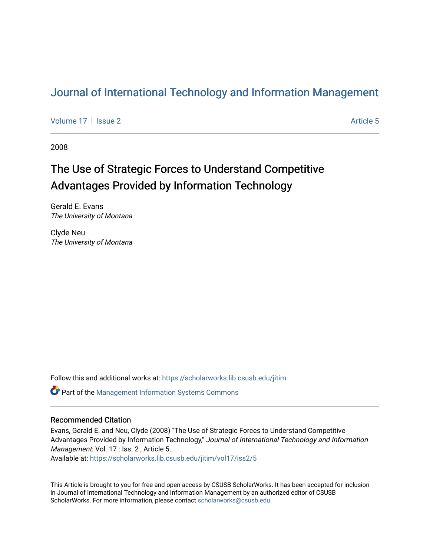### [Journal of International Technology and Information Management](https://scholarworks.lib.csusb.edu/jitim)

[Volume 17](https://scholarworks.lib.csusb.edu/jitim/vol17) | [Issue 2](https://scholarworks.lib.csusb.edu/jitim/vol17/iss2) Article 5

2008

# The Use of Strategic Forces to Understand Competitive Advantages Provided by Information Technology

Gerald E. Evans The University of Montana

Clyde Neu The University of Montana

Follow this and additional works at: [https://scholarworks.lib.csusb.edu/jitim](https://scholarworks.lib.csusb.edu/jitim?utm_source=scholarworks.lib.csusb.edu%2Fjitim%2Fvol17%2Fiss2%2F5&utm_medium=PDF&utm_campaign=PDFCoverPages) 

Part of the [Management Information Systems Commons](http://network.bepress.com/hgg/discipline/636?utm_source=scholarworks.lib.csusb.edu%2Fjitim%2Fvol17%2Fiss2%2F5&utm_medium=PDF&utm_campaign=PDFCoverPages) 

#### Recommended Citation

Evans, Gerald E. and Neu, Clyde (2008) "The Use of Strategic Forces to Understand Competitive Advantages Provided by Information Technology," Journal of International Technology and Information Management: Vol. 17 : Iss. 2, Article 5.

Available at: [https://scholarworks.lib.csusb.edu/jitim/vol17/iss2/5](https://scholarworks.lib.csusb.edu/jitim/vol17/iss2/5?utm_source=scholarworks.lib.csusb.edu%2Fjitim%2Fvol17%2Fiss2%2F5&utm_medium=PDF&utm_campaign=PDFCoverPages) 

This Article is brought to you for free and open access by CSUSB ScholarWorks. It has been accepted for inclusion in Journal of International Technology and Information Management by an authorized editor of CSUSB ScholarWorks. For more information, please contact [scholarworks@csusb.edu.](mailto:scholarworks@csusb.edu)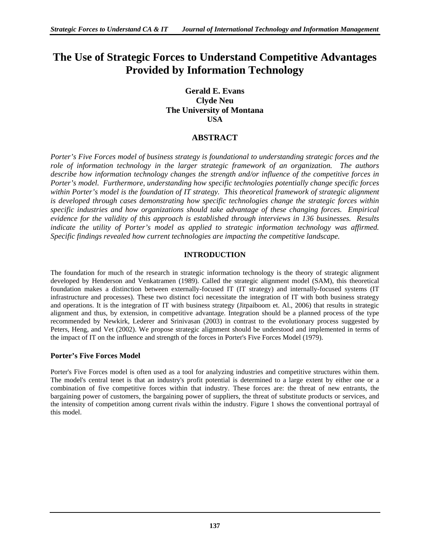### **The Use of Strategic Forces to Understand Competitive Advantages Provided by Information Technology**

#### **Gerald E. Evans Clyde Neu The University of Montana USA**

#### **ABSTRACT**

*Porter's Five Forces model of business strategy is foundational to understanding strategic forces and the role of information technology in the larger strategic framework of an organization. The authors describe how information technology changes the strength and/or influence of the competitive forces in Porter's model. Furthermore, understanding how specific technologies potentially change specific forces within Porter's model is the foundation of IT strategy. This theoretical framework of strategic alignment is developed through cases demonstrating how specific technologies change the strategic forces within specific industries and how organizations should take advantage of these changing forces. Empirical evidence for the validity of this approach is established through interviews in 136 businesses. Results*  indicate the utility of Porter's model as applied to strategic information technology was affirmed. *Specific findings revealed how current technologies are impacting the competitive landscape.* 

#### **INTRODUCTION**

The foundation for much of the research in strategic information technology is the theory of strategic alignment developed by Henderson and Venkatramen (1989). Called the strategic alignment model (SAM), this theoretical foundation makes a distinction between externally-focused IT (IT strategy) and internally-focused systems (IT infrastructure and processes). These two distinct foci necessitate the integration of IT with both business strategy and operations. It is the integration of IT with business strategy (Jitpaiboom et. Al., 2006) that results in strategic alignment and thus, by extension, in competitive advantage. Integration should be a planned process of the type recommended by Newkirk, Lederer and Srinivasan (2003) in contrast to the evolutionary process suggested by Peters, Heng, and Vet (2002). We propose strategic alignment should be understood and implemented in terms of the impact of IT on the influence and strength of the forces in Porter's Five Forces Model (1979).

#### **Porter's Five Forces Model**

Porter's Five Forces model is often used as a tool for analyzing industries and competitive structures within them. The model's central tenet is that an industry's profit potential is determined to a large extent by either one or a combination of five competitive forces within that industry. These forces are: the threat of new entrants, the bargaining power of customers, the bargaining power of suppliers, the threat of substitute products or services, and the intensity of competition among current rivals within the industry. Figure 1 shows the conventional portrayal of this model.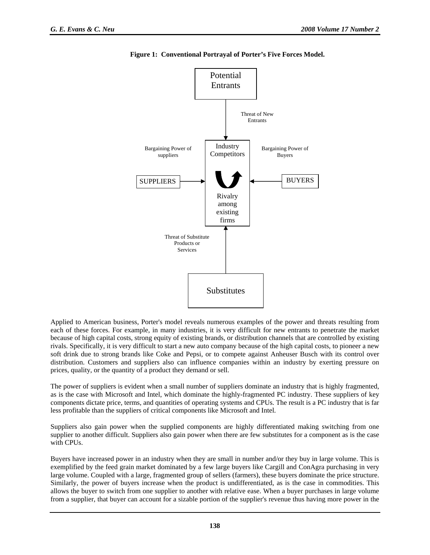

**Figure 1: Conventional Portrayal of Porter's Five Forces Model.** 

Applied to American business, Porter's model reveals numerous examples of the power and threats resulting from each of these forces. For example, in many industries, it is very difficult for new entrants to penetrate the market because of high capital costs, strong equity of existing brands, or distribution channels that are controlled by existing rivals. Specifically, it is very difficult to start a new auto company because of the high capital costs, to pioneer a new soft drink due to strong brands like Coke and Pepsi, or to compete against Anheuser Busch with its control over distribution. Customers and suppliers also can influence companies within an industry by exerting pressure on prices, quality, or the quantity of a product they demand or sell.

The power of suppliers is evident when a small number of suppliers dominate an industry that is highly fragmented, as is the case with Microsoft and Intel, which dominate the highly-fragmented PC industry. These suppliers of key components dictate price, terms, and quantities of operating systems and CPUs. The result is a PC industry that is far less profitable than the suppliers of critical components like Microsoft and Intel.

Suppliers also gain power when the supplied components are highly differentiated making switching from one supplier to another difficult. Suppliers also gain power when there are few substitutes for a component as is the case with CPUs.

Buyers have increased power in an industry when they are small in number and/or they buy in large volume. This is exemplified by the feed grain market dominated by a few large buyers like Cargill and ConAgra purchasing in very large volume. Coupled with a large, fragmented group of sellers (farmers), these buyers dominate the price structure. Similarly, the power of buyers increase when the product is undifferentiated, as is the case in commodities. This allows the buyer to switch from one supplier to another with relative ease. When a buyer purchases in large volume from a supplier, that buyer can account for a sizable portion of the supplier's revenue thus having more power in the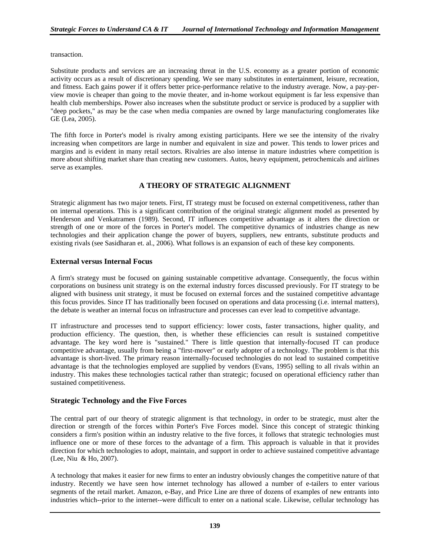transaction.

Substitute products and services are an increasing threat in the U.S. economy as a greater portion of economic activity occurs as a result of discretionary spending. We see many substitutes in entertainment, leisure, recreation, and fitness. Each gains power if it offers better price-performance relative to the industry average. Now, a pay-perview movie is cheaper than going to the movie theater, and in-home workout equipment is far less expensive than health club memberships. Power also increases when the substitute product or service is produced by a supplier with "deep pockets," as may be the case when media companies are owned by large manufacturing conglomerates like GE (Lea, 2005).

The fifth force in Porter's model is rivalry among existing participants. Here we see the intensity of the rivalry increasing when competitors are large in number and equivalent in size and power. This tends to lower prices and margins and is evident in many retail sectors. Rivalries are also intense in mature industries where competition is more about shifting market share than creating new customers. Autos, heavy equipment, petrochemicals and airlines serve as examples.

#### **A THEORY OF STRATEGIC ALIGNMENT**

Strategic alignment has two major tenets. First, IT strategy must be focused on external competitiveness, rather than on internal operations. This is a significant contribution of the original strategic alignment model as presented by Henderson and Venkatramen (1989). Second, IT influences competitive advantage as it alters the direction or strength of one or more of the forces in Porter's model. The competitive dynamics of industries change as new technologies and their application change the power of buyers, suppliers, new entrants, substitute products and existing rivals (see Sasidharan et. al., 2006). What follows is an expansion of each of these key components.

#### **External versus Internal Focus**

A firm's strategy must be focused on gaining sustainable competitive advantage. Consequently, the focus within corporations on business unit strategy is on the external industry forces discussed previously. For IT strategy to be aligned with business unit strategy, it must be focused on external forces and the sustained competitive advantage this focus provides. Since IT has traditionally been focused on operations and data processing (i.e. internal matters), the debate is weather an internal focus on infrastructure and processes can ever lead to competitive advantage.

IT infrastructure and processes tend to support efficiency: lower costs, faster transactions, higher quality, and production efficiency. The question, then, is whether these efficiencies can result is sustained competitive advantage. The key word here is "sustained." There is little question that internally-focused IT can produce competitive advantage, usually from being a "first-mover" or early adopter of a technology. The problem is that this advantage is short-lived. The primary reason internally-focused technologies do not lead to sustained competitive advantage is that the technologies employed are supplied by vendors (Evans, 1995) selling to all rivals within an industry. This makes these technologies tactical rather than strategic; focused on operational efficiency rather than sustained competitiveness.

#### **Strategic Technology and the Five Forces**

The central part of our theory of strategic alignment is that technology, in order to be strategic, must alter the direction or strength of the forces within Porter's Five Forces model. Since this concept of strategic thinking considers a firm's position within an industry relative to the five forces, it follows that strategic technologies must influence one or more of these forces to the advantage of a firm. This approach is valuable in that it provides direction for which technologies to adopt, maintain, and support in order to achieve sustained competitive advantage (Lee, Niu & Ho, 2007).

A technology that makes it easier for new firms to enter an industry obviously changes the competitive nature of that industry. Recently we have seen how internet technology has allowed a number of e-tailers to enter various segments of the retail market. Amazon, e-Bay, and Price Line are three of dozens of examples of new entrants into industries which--prior to the internet--were difficult to enter on a national scale. Likewise, cellular technology has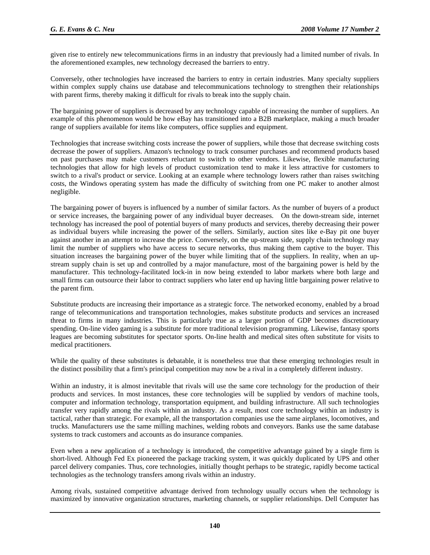given rise to entirely new telecommunications firms in an industry that previously had a limited number of rivals. In the aforementioned examples, new technology decreased the barriers to entry.

Conversely, other technologies have increased the barriers to entry in certain industries. Many specialty suppliers within complex supply chains use database and telecommunications technology to strengthen their relationships with parent firms, thereby making it difficult for rivals to break into the supply chain.

The bargaining power of suppliers is decreased by any technology capable of increasing the number of suppliers. An example of this phenomenon would be how eBay has transitioned into a B2B marketplace, making a much broader range of suppliers available for items like computers, office supplies and equipment.

Technologies that increase switching costs increase the power of suppliers, while those that decrease switching costs decrease the power of suppliers. Amazon's technology to track consumer purchases and recommend products based on past purchases may make customers reluctant to switch to other vendors. Likewise, flexible manufacturing technologies that allow for high levels of product customization tend to make it less attractive for customers to switch to a rival's product or service. Looking at an example where technology lowers rather than raises switching costs, the Windows operating system has made the difficulty of switching from one PC maker to another almost negligible.

The bargaining power of buyers is influenced by a number of similar factors. As the number of buyers of a product or service increases, the bargaining power of any individual buyer decreases. On the down-stream side, internet technology has increased the pool of potential buyers of many products and services, thereby decreasing their power as individual buyers while increasing the power of the sellers. Similarly, auction sites like e-Bay pit one buyer against another in an attempt to increase the price. Conversely, on the up-stream side, supply chain technology may limit the number of suppliers who have access to secure networks, thus making them captive to the buyer. This situation increases the bargaining power of the buyer while limiting that of the suppliers. In reality, when an upstream supply chain is set up and controlled by a major manufacture, most of the bargaining power is held by the manufacturer. This technology-facilitated lock-in in now being extended to labor markets where both large and small firms can outsource their labor to contract suppliers who later end up having little bargaining power relative to the parent firm.

Substitute products are increasing their importance as a strategic force. The networked economy, enabled by a broad range of telecommunications and transportation technologies, makes substitute products and services an increased threat to firms in many industries. This is particularly true as a larger portion of GDP becomes discretionary spending. On-line video gaming is a substitute for more traditional television programming. Likewise, fantasy sports leagues are becoming substitutes for spectator sports. On-line health and medical sites often substitute for visits to medical practitioners.

While the quality of these substitutes is debatable, it is nonetheless true that these emerging technologies result in the distinct possibility that a firm's principal competition may now be a rival in a completely different industry.

Within an industry, it is almost inevitable that rivals will use the same core technology for the production of their products and services. In most instances, these core technologies will be supplied by vendors of machine tools, computer and information technology, transportation equipment, and building infrastructure. All such technologies transfer very rapidly among the rivals within an industry. As a result, most core technology within an industry is tactical, rather than strategic. For example, all the transportation companies use the same airplanes, locomotives, and trucks. Manufacturers use the same milling machines, welding robots and conveyors. Banks use the same database systems to track customers and accounts as do insurance companies.

Even when a new application of a technology is introduced, the competitive advantage gained by a single firm is short-lived. Although Fed Ex pioneered the package tracking system, it was quickly duplicated by UPS and other parcel delivery companies. Thus, core technologies, initially thought perhaps to be strategic, rapidly become tactical technologies as the technology transfers among rivals within an industry.

Among rivals, sustained competitive advantage derived from technology usually occurs when the technology is maximized by innovative organization structures, marketing channels, or supplier relationships. Dell Computer has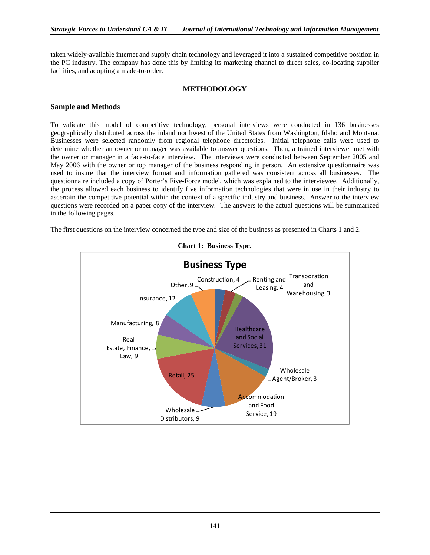taken widely-available internet and supply chain technology and leveraged it into a sustained competitive position in the PC industry. The company has done this by limiting its marketing channel to direct sales, co-locating supplier facilities, and adopting a made-to-order.

#### **METHODOLOGY**

#### **Sample and Methods**

To validate this model of competitive technology, personal interviews were conducted in 136 businesses geographically distributed across the inland northwest of the United States from Washington, Idaho and Montana. Businesses were selected randomly from regional telephone directories. Initial telephone calls were used to determine whether an owner or manager was available to answer questions. Then, a trained interviewer met with the owner or manager in a face-to-face interview. The interviews were conducted between September 2005 and May 2006 with the owner or top manager of the business responding in person. An extensive questionnaire was used to insure that the interview format and information gathered was consistent across all businesses. The questionnaire included a copy of Porter's Five-Force model, which was explained to the interviewee. Additionally, the process allowed each business to identify five information technologies that were in use in their industry to ascertain the competitive potential within the context of a specific industry and business. Answer to the interview questions were recorded on a paper copy of the interview. The answers to the actual questions will be summarized in the following pages.

The first questions on the interview concerned the type and size of the business as presented in Charts 1 and 2.



**Chart 1: Business Type.**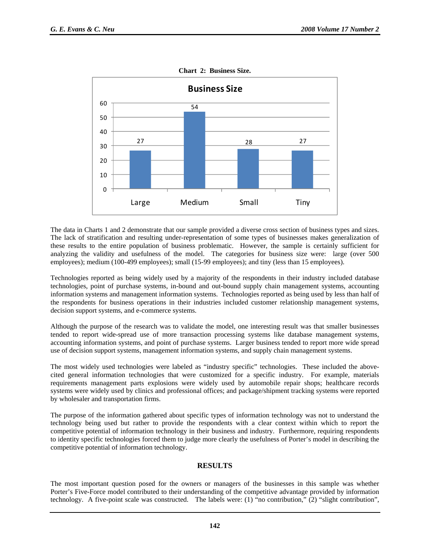

**Chart 2: Business Size.** 

The data in Charts 1 and 2 demonstrate that our sample provided a diverse cross section of business types and sizes. The lack of stratification and resulting under-representation of some types of businesses makes generalization of these results to the entire population of business problematic. However, the sample is certainly sufficient for analyzing the validity and usefulness of the model. The categories for business size were: large (over 500 employees); medium (100-499 employees); small (15-99 employees); and tiny (less than 15 employees).

Technologies reported as being widely used by a majority of the respondents in their industry included database technologies, point of purchase systems, in-bound and out-bound supply chain management systems, accounting information systems and management information systems. Technologies reported as being used by less than half of the respondents for business operations in their industries included customer relationship management systems, decision support systems, and e-commerce systems.

Although the purpose of the research was to validate the model, one interesting result was that smaller businesses tended to report wide-spread use of more transaction processing systems like database management systems, accounting information systems, and point of purchase systems. Larger business tended to report more wide spread use of decision support systems, management information systems, and supply chain management systems.

The most widely used technologies were labeled as "industry specific" technologies. These included the abovecited general information technologies that were customized for a specific industry. For example, materials requirements management parts explosions were widely used by automobile repair shops; healthcare records systems were widely used by clinics and professional offices; and package/shipment tracking systems were reported by wholesaler and transportation firms.

The purpose of the information gathered about specific types of information technology was not to understand the technology being used but rather to provide the respondents with a clear context within which to report the competitive potential of information technology in their business and industry. Furthermore, requiring respondents to identity specific technologies forced them to judge more clearly the usefulness of Porter's model in describing the competitive potential of information technology.

#### **RESULTS**

The most important question posed for the owners or managers of the businesses in this sample was whether Porter's Five-Force model contributed to their understanding of the competitive advantage provided by information technology. A five-point scale was constructed. The labels were: (1) "no contribution," (2) "slight contribution",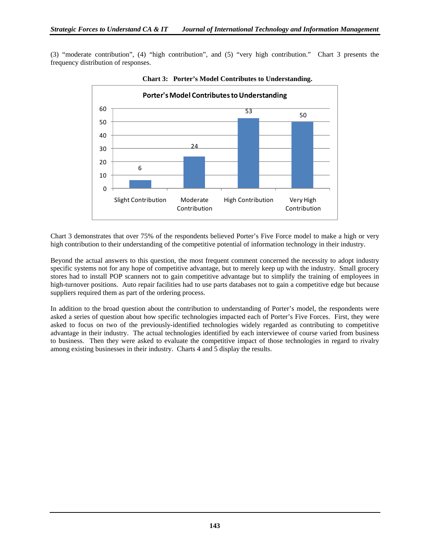(3) "moderate contribution", (4) "high contribution", and (5) "very high contribution." Chart 3 presents the frequency distribution of responses.



**Chart 3: Porter's Model Contributes to Understanding.** 

Chart 3 demonstrates that over 75% of the respondents believed Porter's Five Force model to make a high or very high contribution to their understanding of the competitive potential of information technology in their industry.

Beyond the actual answers to this question, the most frequent comment concerned the necessity to adopt industry specific systems not for any hope of competitive advantage, but to merely keep up with the industry. Small grocery stores had to install POP scanners not to gain competitive advantage but to simplify the training of employees in high-turnover positions. Auto repair facilities had to use parts databases not to gain a competitive edge but because suppliers required them as part of the ordering process.

In addition to the broad question about the contribution to understanding of Porter's model, the respondents were asked a series of question about how specific technologies impacted each of Porter's Five Forces. First, they were asked to focus on two of the previously-identified technologies widely regarded as contributing to competitive advantage in their industry. The actual technologies identified by each interviewee of course varied from business to business. Then they were asked to evaluate the competitive impact of those technologies in regard to rivalry among existing businesses in their industry. Charts 4 and 5 display the results.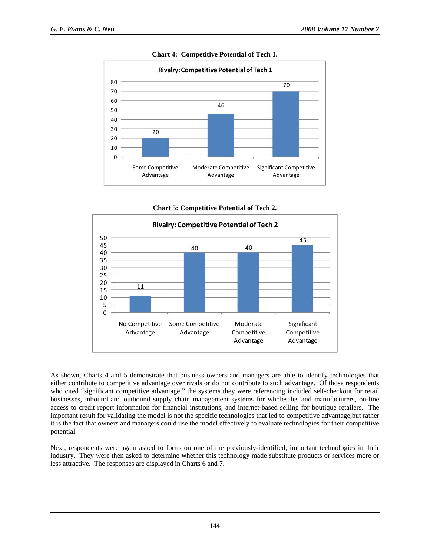

**Chart 4: Competitive Potential of Tech 1.** 

**Chart 5: Competitive Potential of Tech 2.** 



As shown, Charts 4 and 5 demonstrate that business owners and managers are able to identify technologies that either contribute to competitive advantage over rivals or do not contribute to such advantage. Of those respondents who cited "significant competitive advantage," the systems they were referencing included self-checkout for retail businesses, inbound and outbound supply chain management systems for wholesales and manufacturers, on-line access to credit report information for financial institutions, and internet-based selling for boutique retailers. The important result for validating the model is not the specific technologies that led to competitive advantage,but rather it is the fact that owners and managers could use the model effectively to evaluate technologies for their competitive potential.

Next, respondents were again asked to focus on one of the previously-identified, important technologies in their industry. They were then asked to determine whether this technology made substitute products or services more or less attractive. The responses are displayed in Charts 6 and 7.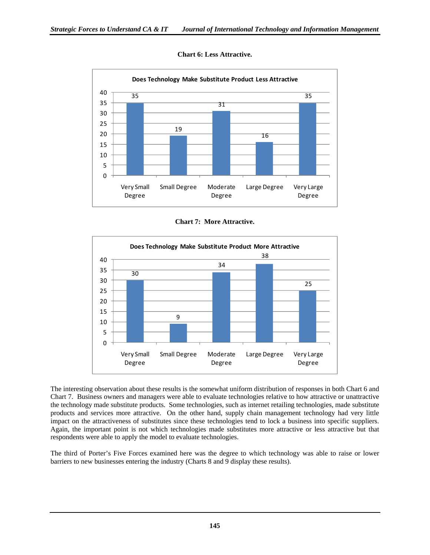

#### **Chart 6: Less Attractive.**

**Chart 7: More Attractive.** 



The interesting observation about these results is the somewhat uniform distribution of responses in both Chart 6 and Chart 7. Business owners and managers were able to evaluate technologies relative to how attractive or unattractive the technology made substitute products. Some technologies, such as internet retailing technologies, made substitute products and services more attractive. On the other hand, supply chain management technology had very little impact on the attractiveness of substitutes since these technologies tend to lock a business into specific suppliers. Again, the important point is not which technologies made substitutes more attractive or less attractive but that respondents were able to apply the model to evaluate technologies.

The third of Porter's Five Forces examined here was the degree to which technology was able to raise or lower barriers to new businesses entering the industry (Charts 8 and 9 display these results).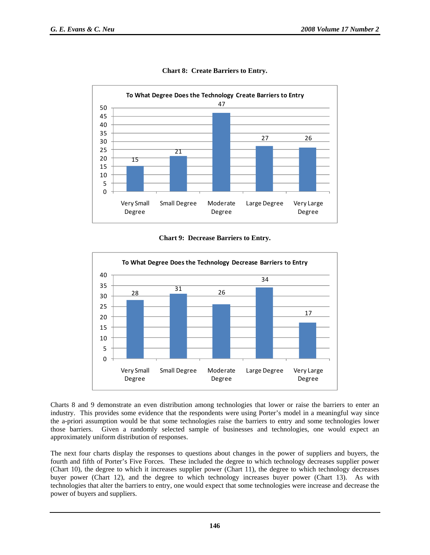

**Chart 8: Create Barriers to Entry.** 

#### **Chart 9: Decrease Barriers to Entry.**



Charts 8 and 9 demonstrate an even distribution among technologies that lower or raise the barriers to enter an industry. This provides some evidence that the respondents were using Porter's model in a meaningful way since the a-priori assumption would be that some technologies raise the barriers to entry and some technologies lower those barriers. Given a randomly selected sample of businesses and technologies, one would expect an approximately uniform distribution of responses.

The next four charts display the responses to questions about changes in the power of suppliers and buyers, the fourth and fifth of Porter's Five Forces. These included the degree to which technology decreases supplier power (Chart 10), the degree to which it increases supplier power (Chart 11), the degree to which technology decreases buyer power (Chart 12), and the degree to which technology increases buyer power (Chart 13). As with technologies that alter the barriers to entry, one would expect that some technologies were increase and decrease the power of buyers and suppliers.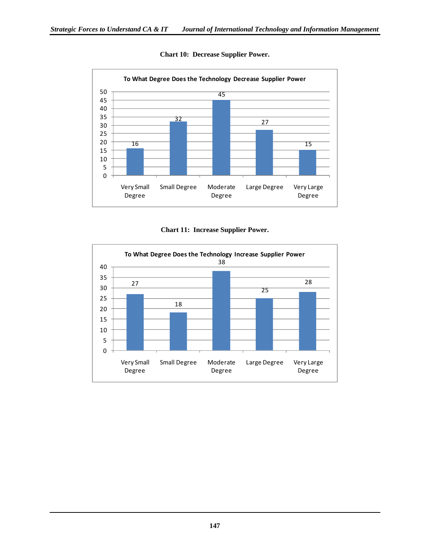

#### **Chart 10: Decrease Supplier Power.**

**Chart 11: Increase Supplier Power.** 

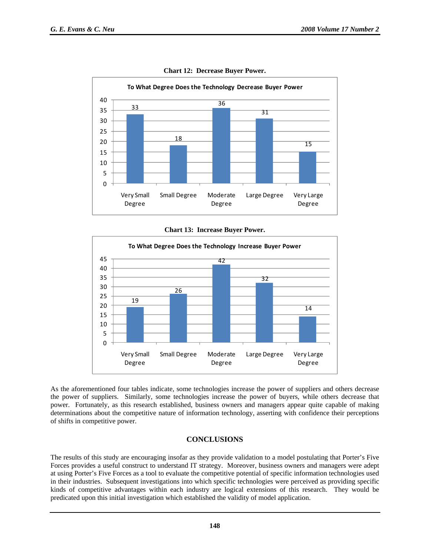

**Chart 12: Decrease Buyer Power.** 

**Chart 13: Increase Buyer Power.** 



As the aforementioned four tables indicate, some technologies increase the power of suppliers and others decrease the power of suppliers. Similarly, some technologies increase the power of buyers, while others decrease that power. Fortunately, as this research established, business owners and managers appear quite capable of making determinations about the competitive nature of information technology, asserting with confidence their perceptions of shifts in competitive power.

#### **CONCLUSIONS**

The results of this study are encouraging insofar as they provide validation to a model postulating that Porter's Five Forces provides a useful construct to understand IT strategy. Moreover, business owners and managers were adept at using Porter's Five Forces as a tool to evaluate the competitive potential of specific information technologies used in their industries. Subsequent investigations into which specific technologies were perceived as providing specific kinds of competitive advantages within each industry are logical extensions of this research. They would be predicated upon this initial investigation which established the validity of model application.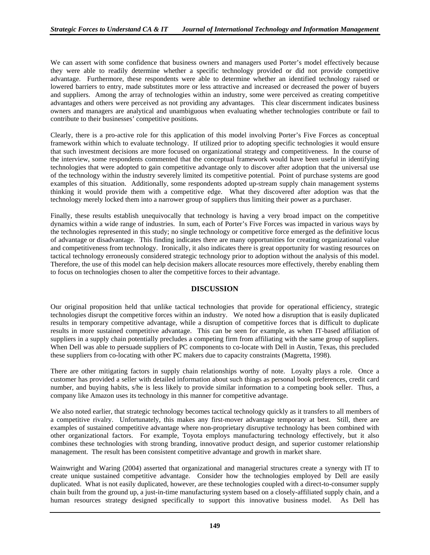We can assert with some confidence that business owners and managers used Porter's model effectively because they were able to readily determine whether a specific technology provided or did not provide competitive advantage. Furthermore, these respondents were able to determine whether an identified technology raised or lowered barriers to entry, made substitutes more or less attractive and increased or decreased the power of buyers and suppliers. Among the array of technologies within an industry, some were perceived as creating competitive advantages and others were perceived as not providing any advantages. This clear discernment indicates business owners and managers are analytical and unambiguous when evaluating whether technologies contribute or fail to contribute to their businesses' competitive positions.

Clearly, there is a pro-active role for this application of this model involving Porter's Five Forces as conceptual framework within which to evaluate technology. If utilized prior to adopting specific technologies it would ensure that such investment decisions are more focused on organizational strategy and competitiveness. In the course of the interview, some respondents commented that the conceptual framework would have been useful in identifying technologies that were adopted to gain competitive advantage only to discover after adoption that the universal use of the technology within the industry severely limited its competitive potential. Point of purchase systems are good examples of this situation. Additionally, some respondents adopted up-stream supply chain management systems thinking it would provide them with a competitive edge. What they discovered after adoption was that the technology merely locked them into a narrower group of suppliers thus limiting their power as a purchaser.

Finally, these results establish unequivocally that technology is having a very broad impact on the competitive dynamics within a wide range of industries. In sum, each of Porter's Five Forces was impacted in various ways by the technologies represented in this study; no single technology or competitive force emerged as the definitive locus of advantage or disadvantage. This finding indicates there are many opportunities for creating organizational value and competitiveness from technology. Ironically, it also indicates there is great opportunity for wasting resources on tactical technology erroneously considered strategic technology prior to adoption without the analysis of this model. Therefore, the use of this model can help decision makers allocate resources more effectively, thereby enabling them to focus on technologies chosen to alter the competitive forces to their advantage.

#### **DISCUSSION**

Our original proposition held that unlike tactical technologies that provide for operational efficiency, strategic technologies disrupt the competitive forces within an industry. We noted how a disruption that is easily duplicated results in temporary competitive advantage, while a disruption of competitive forces that is difficult to duplicate results in more sustained competitive advantage. This can be seen for example, as when IT-based affiliation of suppliers in a supply chain potentially precludes a competing firm from affiliating with the same group of suppliers. When Dell was able to persuade suppliers of PC components to co-locate with Dell in Austin, Texas, this precluded these suppliers from co-locating with other PC makers due to capacity constraints (Magretta, 1998).

There are other mitigating factors in supply chain relationships worthy of note. Loyalty plays a role. Once a customer has provided a seller with detailed information about such things as personal book preferences, credit card number, and buying habits, s/he is less likely to provide similar information to a competing book seller. Thus, a company like Amazon uses its technology in this manner for competitive advantage.

We also noted earlier, that strategic technology becomes tactical technology quickly as it transfers to all members of a competitive rivalry. Unfortunately, this makes any first-mover advantage temporary at best. Still, there are examples of sustained competitive advantage where non-proprietary disruptive technology has been combined with other organizational factors. For example, Toyota employs manufacturing technology effectively, but it also combines these technologies with strong branding, innovative product design, and superior customer relationship management. The result has been consistent competitive advantage and growth in market share.

Wainwright and Waring (2004) asserted that organizational and managerial structures create a synergy with IT to create unique sustained competitive advantage. Consider how the technologies employed by Dell are easily duplicated. What is not easily duplicated, however, are these technologies coupled with a direct-to-consumer supply chain built from the ground up, a just-in-time manufacturing system based on a closely-affiliated supply chain, and a human resources strategy designed specifically to support this innovative business model. As Dell has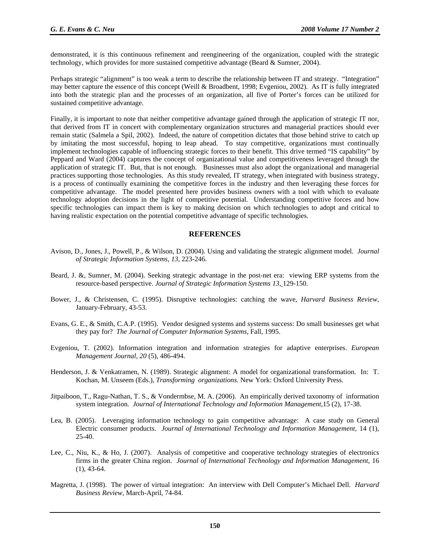demonstrated, it is this continuous refinement and reengineering of the organization, coupled with the strategic technology, which provides for more sustained competitive advantage (Beard & Sumner, 2004).

Perhaps strategic "alignment" is too weak a term to describe the relationship between IT and strategy. "Integration" may better capture the essence of this concept (Weill & Broadbent, 1998; Evgeniou, 2002). As IT is fully integrated into both the strategic plan and the processes of an organization, all five of Porter's forces can be utilized for sustained competitive advantage.

Finally, it is important to note that neither competitive advantage gained through the application of strategic IT nor, that derived from IT in concert with complementary organization structures and managerial practices should ever remain static (Salmela a Spil, 2002). Indeed, the nature of competition dictates that those behind strive to catch up by imitating the most successful, hoping to leap ahead. To stay competitive, organizations must continually implement technologies capable of influencing strategic forces to their benefit. This drive termed "IS capability" by Peppard and Ward (2004) captures the concept of organizational value and competitiveness leveraged through the application of strategic IT. But, that is not enough. Businesses must also adopt the organizational and managerial practices supporting those technologies. As this study revealed, IT strategy, when integrated with business strategy, is a process of continually examining the competitive forces in the industry and then leveraging these forces for competitive advantage. The model presented here provides business owners with a tool with which to evaluate technology adoption decisions in the light of competitive potential. Understanding competitive forces and how specific technologies can impact them is key to making decision on which technologies to adopt and critical to having realistic expectation on the potential competitive advantage of specific technologies.

#### **REFERENCES**

- Avison, D., Jones, J., Powell, P., & Wilson, D. (2004). Using and validating the strategic alignment model. *Journal of Strategic Information Systems, 13*, 223-246.
- Beard, J. &, Sumner, M. (2004). Seeking strategic advantage in the post-net era: viewing ERP systems from the resource-based perspective. *Journal of Strategic Information Systems 13,* 129-150.
- Bower, J., & Christensen, C. (1995). Disruptive technologies: catching the wave, *Harvard Business Review,* January-February, 43-53.
- Evans, G. E., & Smith, C.A.P. (1995). Vendor designed systems and systems success: Do small businesses get what they pay for? *The Journal of Computer Information Systems,* Fall, 1995.
- Evgeniou, T. (2002). Information integration and information strategies for adaptive enterprises. *European Management Journal, 20* (5), 486-494.
- Henderson, J. & Venkatramen, N. (1989). Strategic alignment: A model for organizational transformation. In: T. Kochan, M. Unseem (Eds.), *Transforming organizations.* New York: Oxford University Press.
- Jitpaiboon, T., Ragu-Nathan, T. S., & Vondermbse, M. A. (2006). An empirically derived taxonomy of information system integration. *Journal of International Technology and Information Management*, 15 (2), 17-38.
- Lea, B. (2005). Leveraging information technology to gain competitive advantage: A case study on General Electric consumer products. *Journal of International Technology and Information Management,* 14 (1), 25-40.
- Lee, C., Niu, K., & Ho, J. (2007). Analysis of competitive and cooperative technology strategies of electronics firms in the greater China region. *Journal of International Technology and Information Management*, 16 (1), 43-64.
- Magretta, J. (1998). The power of virtual integration: An interview with Dell Computer's Michael Dell. *Harvard Business Review,* March-April, 74-84.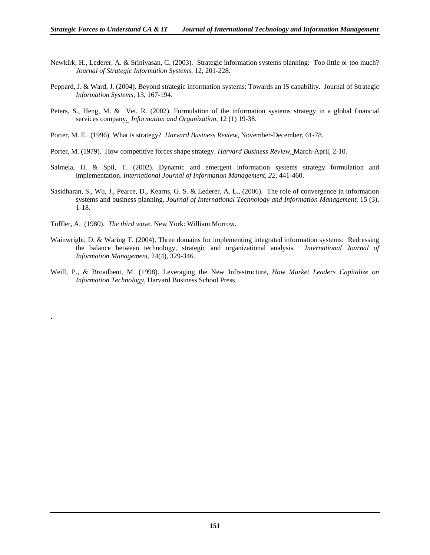- Newkirk, H., Lederer, A. & Srinivasan, C. (2003). Strategic information systems planning: Too little or too much? *Journal of Strategic Information Systems,* 12*,* 201-228.
- Peppard, J. & Ward, J. (2004). Beyond strategic information systems: Towards an IS capability. Journal of Strategic *Information Systems*, 13, 167-194.
- Peters, S., Heng, M. & Vet, R. (2002). Formulation of the information systems strategy in a global financial services company*. Information and Organization,* 12 (1) 19-38.
- Porter, M. E. (1996). What is strategy? *Harvard Business Review*, November-December, 61-78.
- Porter, M. (1979). How competitive forces shape strategy. *Harvard Business Review,* March-April, 2-10.
- Salmela, H. & Spil, T. (2002). Dynamic and emergent information systems strategy formulation and implementation. *International Journal of Information Management, 22,* 441-460.
- Sasidharan, S., Wu, J., Pearce, D., Kearns, G. S. & Lederer, A. L., (2006). The role of convergence in information systems and business planning. *Journal of International Technology and Information Management,* 15 (3), 1-18.
- Toffler, A. (1980). *The third wave.* New York: William Morrow.

.

- Wainwright, D. & Waring T. (2004). Three domains for implementing integrated information systems: Redressing the balance between technology, strategic and organizational analysis*. International Journal of Information Management,* 24(4), 329-346.
- Weill, P., & Broadbent, M. (1998). Leveraging the New Infrastructure, *How Market Leaders Capitalize on Information Technology,* Harvard Business School Press.